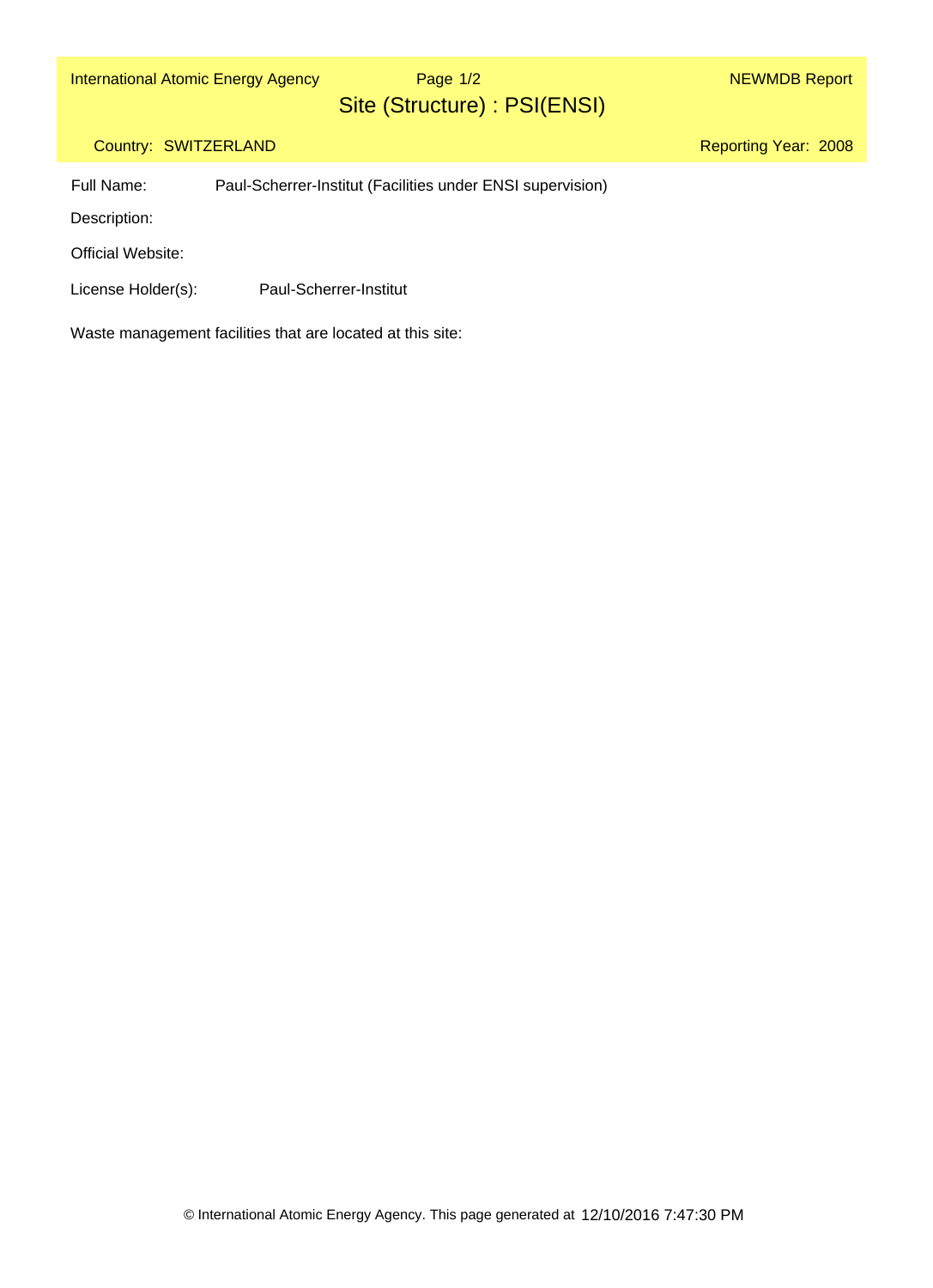Page 1/2

Reporting Year: 2008

## Site (Structure) : PSI(ENSI)

#### Country: SWITZERLAND

Full Name: Paul-Scherrer-Institut (Facilities under ENSI supervision)

Description:

Official Website:

License Holder(s): Paul-Scherrer-Institut

Waste management facilities that are located at this site: